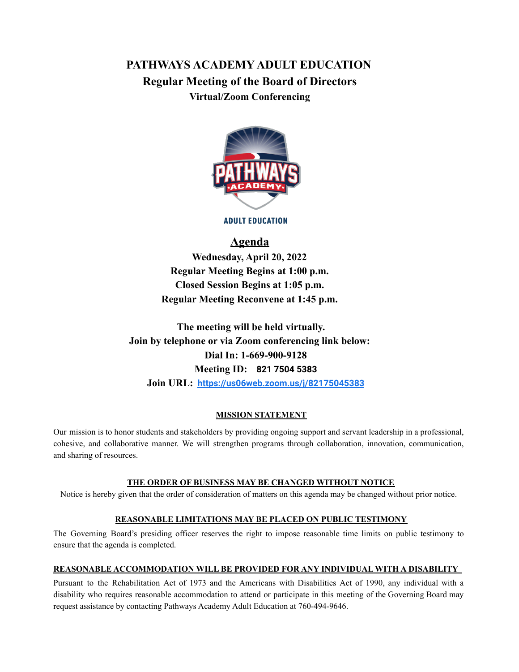# **PATHWAYS ACADEMY ADULT EDUCATION Regular Meeting of the Board of Directors Virtual/Zoom Conferencing**



**ADULT EDUCATION** 

# **Agenda**

**Wednesday, April 20, 2022 Regular Meeting Begins at 1:00 p.m. Closed Session Begins at 1:05 p.m. Regular Meeting Reconvene at 1:45 p.m.**

**The meeting will be held virtually. Join by telephone or via Zoom conferencing link below: Dial In: 1-669-900-9128 Meeting ID: 821 7504 5383 Join URL: <https://us06web.zoom.us/j/82175045383>**

#### **MISSION STATEMENT**

Our mission is to honor students and stakeholders by providing ongoing support and servant leadership in a professional, cohesive, and collaborative manner. We will strengthen programs through collaboration, innovation, communication, and sharing of resources.

#### **THE ORDER OF BUSINESS MAY BE CHANGED WITHOUT NOTICE**

Notice is hereby given that the order of consideration of matters on this agenda may be changed without prior notice.

#### **REASONABLE LIMITATIONS MAY BE PLACED ON PUBLIC TESTIMONY**

The Governing Board's presiding officer reserves the right to impose reasonable time limits on public testimony to ensure that the agenda is completed.

#### **REASONABLE ACCOMMODATION WILL BE PROVIDED FOR ANY INDIVIDUAL WITH A DISABILITY**

Pursuant to the Rehabilitation Act of 1973 and the Americans with Disabilities Act of 1990, any individual with a disability who requires reasonable accommodation to attend or participate in this meeting of the Governing Board may request assistance by contacting Pathways Academy Adult Education at 760-494-9646.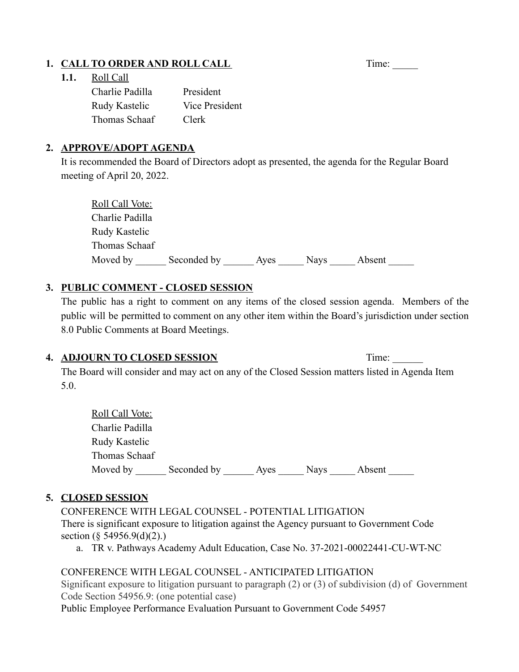# 1. **CALL TO ORDER AND ROLL CALL** Time: \_\_\_\_\_\_

### **1.1.** Roll Call

| Charlie Padilla | President      |
|-----------------|----------------|
| Rudy Kastelic   | Vice President |
| Thomas Schaaf   | Clerk          |

### **2. APPROVE/ADOPT AGENDA**

It is recommended the Board of Directors adopt as presented, the agenda for the Regular Board meeting of April 20, 2022.

| Roll Call Vote: |             |      |             |        |
|-----------------|-------------|------|-------------|--------|
| Charlie Padilla |             |      |             |        |
| Rudy Kastelic   |             |      |             |        |
| Thomas Schaaf   |             |      |             |        |
| Moved by        | Seconded by | Ayes | <b>Nays</b> | Absent |

# **3. PUBLIC COMMENT - CLOSED SESSION**

The public has a right to comment on any items of the closed session agenda. Members of the public will be permitted to comment on any other item within the Board's jurisdiction under section 8.0 Public Comments at Board Meetings.

### **4. ADJOURN TO CLOSED SESSION** Time: \_\_\_\_\_\_

The Board will consider and may act on any of the Closed Session matters listed in Agenda Item 5.0.

| <b>Roll Call Vote:</b> |             |      |             |        |
|------------------------|-------------|------|-------------|--------|
| Charlie Padilla        |             |      |             |        |
| Rudy Kastelic          |             |      |             |        |
| Thomas Schaaf          |             |      |             |        |
| Moved by               | Seconded by | Aves | <b>Navs</b> | Absent |

## **5. CLOSED SESSION**

CONFERENCE WITH LEGAL COUNSEL - POTENTIAL LITIGATION There is significant exposure to litigation against the Agency pursuant to Government Code section (§ 54956.9(d)(2).)

a. TR v. Pathways Academy Adult Education, Case No. 37-2021-00022441-CU-WT-NC

## CONFERENCE WITH LEGAL COUNSEL - ANTICIPATED LITIGATION

Significant exposure to litigation pursuant to paragraph (2) or (3) of subdivision (d) of Government Code Section 54956.9: (one potential case)

Public Employee Performance Evaluation Pursuant to Government Code 54957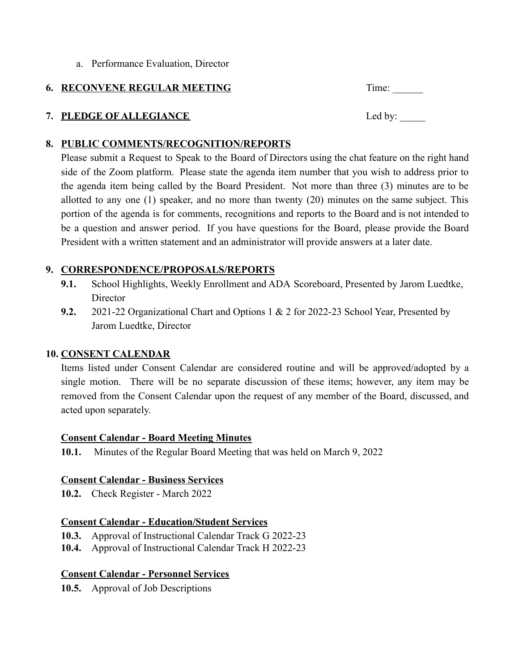a. Performance Evaluation, Director

### **6. RECONVENE REGULAR MEETING** Time:

# **7. PLEDGE OF ALLEGIANCE** Led by:

### **8. PUBLIC COMMENTS/RECOGNITION/REPORTS**

Please submit a Request to Speak to the Board of Directors using the chat feature on the right hand side of the Zoom platform. Please state the agenda item number that you wish to address prior to the agenda item being called by the Board President. Not more than three (3) minutes are to be allotted to any one (1) speaker, and no more than twenty (20) minutes on the same subject. This portion of the agenda is for comments, recognitions and reports to the Board and is not intended to be a question and answer period. If you have questions for the Board, please provide the Board President with a written statement and an administrator will provide answers at a later date.

## **9. CORRESPONDENCE/PROPOSALS/REPORTS**

- **9.1.** School Highlights, Weekly Enrollment and ADA Scoreboard, Presented by Jarom Luedtke, **Director**
- **9.2.** 2021-22 Organizational Chart and Options 1 & 2 for 2022-23 School Year, Presented by Jarom Luedtke, Director

### **10. CONSENT CALENDAR**

Items listed under Consent Calendar are considered routine and will be approved/adopted by a single motion. There will be no separate discussion of these items; however, any item may be removed from the Consent Calendar upon the request of any member of the Board, discussed, and acted upon separately.

### **Consent Calendar - Board Meeting Minutes**

**10.1.** Minutes of the Regular Board Meeting that was held on March 9, 2022

### **Consent Calendar - Business Services**

**10.2.** Check Register - March 2022

### **Consent Calendar - Education/Student Services**

**10.3.** Approval of Instructional Calendar Track G 2022-23

**10.4.** Approval of Instructional Calendar Track H 2022-23

## **Consent Calendar - Personnel Services**

**10.5.** Approval of Job Descriptions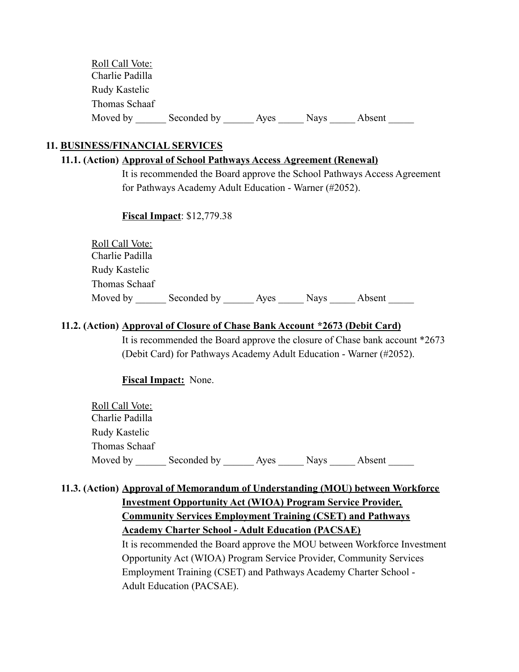| Roll Call Vote: |             |      |             |        |  |
|-----------------|-------------|------|-------------|--------|--|
| Charlie Padilla |             |      |             |        |  |
| Rudy Kastelic   |             |      |             |        |  |
| Thomas Schaaf   |             |      |             |        |  |
| Moved by        | Seconded by | Aves | <b>Nays</b> | Absent |  |

### **11. BUSINESS/FINANCIAL SERVICES**

#### **11.1. (Action) Approval of School Pathways Access Agreement (Renewal)**

It is recommended the Board approve the School Pathways Access Agreement for Pathways Academy Adult Education - Warner (#2052).

#### **Fiscal Impact**: \$12,779.38

| <b>Roll Call Vote:</b> |             |      |             |        |
|------------------------|-------------|------|-------------|--------|
| Charlie Padilla        |             |      |             |        |
| Rudy Kastelic          |             |      |             |        |
| Thomas Schaaf          |             |      |             |        |
| Moved by               | Seconded by | Aves | <b>Navs</b> | Absent |

#### **11.2. (Action) Approval of Closure of Chase Bank Account \*2673 (Debit Card)**

It is recommended the Board approve the closure of Chase bank account \*2673 (Debit Card) for Pathways Academy Adult Education - Warner (#2052).

**Fiscal Impact:** None.

| Roll Call Vote: |             |      |             |        |  |
|-----------------|-------------|------|-------------|--------|--|
| Charlie Padilla |             |      |             |        |  |
| Rudy Kastelic   |             |      |             |        |  |
| Thomas Schaaf   |             |      |             |        |  |
| Moved by        | Seconded by | Aves | <b>Nays</b> | Absent |  |

## **11.3. (Action) Approval of Memorandum of Understanding (MOU) between Workforce**

# **Investment Opportunity Act (WIOA) Program Service Provider, Community Services Employment Training (CSET) and Pathways Academy Charter School - Adult Education (PACSAE)**

It is recommended the Board approve the MOU between Workforce Investment Opportunity Act (WIOA) Program Service Provider, Community Services Employment Training (CSET) and Pathways Academy Charter School - Adult Education (PACSAE).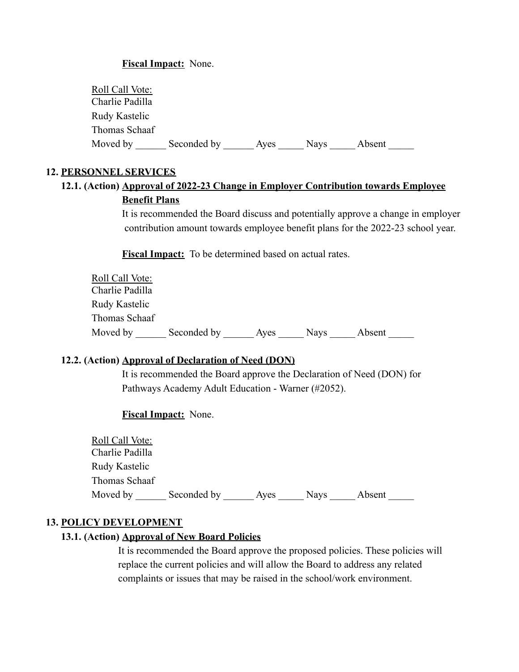#### **Fiscal Impact:** None.

| Roll Call Vote: |             |      |             |        |  |
|-----------------|-------------|------|-------------|--------|--|
| Charlie Padilla |             |      |             |        |  |
| Rudy Kastelic   |             |      |             |        |  |
| Thomas Schaaf   |             |      |             |        |  |
| Moved by        | Seconded by | Aves | <b>Nays</b> | Absent |  |

#### **12. PERSONNEL SERVICES**

# **12.1. (Action) Approval of 2022-23 Change in Employer Contribution towards Employee Benefit Plans**

It is recommended the Board discuss and potentially approve a change in employer contribution amount towards employee benefit plans for the 2022-23 school year.

**Fiscal Impact:** To be determined based on actual rates.

| Roll Call Vote: |             |      |             |        |
|-----------------|-------------|------|-------------|--------|
| Charlie Padilla |             |      |             |        |
| Rudy Kastelic   |             |      |             |        |
| Thomas Schaaf   |             |      |             |        |
| Moved by        | Seconded by | Aves | <b>Navs</b> | Absent |

## **12.2. (Action) Approval of Declaration of Need (DON)**

It is recommended the Board approve the Declaration of Need (DON) for Pathways Academy Adult Education - Warner (#2052).

#### **Fiscal Impact:** None.

| Roll Call Vote: |             |      |             |        |
|-----------------|-------------|------|-------------|--------|
| Charlie Padilla |             |      |             |        |
| Rudy Kastelic   |             |      |             |        |
| Thomas Schaaf   |             |      |             |        |
| Moved by        | Seconded by | Aves | <b>Navs</b> | Absent |

#### **13. POLICY DEVELOPMENT**

#### **13.1. (Action) Approval of New Board Policies**

It is recommended the Board approve the proposed policies. These policies will replace the current policies and will allow the Board to address any related complaints or issues that may be raised in the school/work environment.